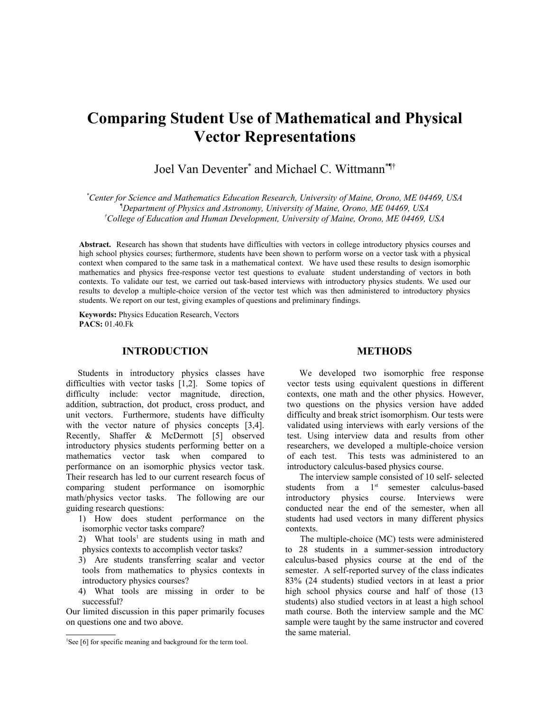# **Comparing Student Use of Mathematical and Physical Vector Representations**

Joel Van Deventer<sup>\*</sup> and Michael C. Wittmann<sup>\*¶†</sup>

*\*Center for Science and Mathematics Education Research, University of Maine, Orono, ME 04469, USA ¶Department of Physics and Astronomy, University of Maine, Orono, ME 04469, USA †College of Education and Human Development, University of Maine, Orono, ME 04469, USA*

**Abstract.** Research has shown that students have difficulties with vectors in college introductory physics courses and high school physics courses; furthermore, students have been shown to perform worse on a vector task with a physical context when compared to the same task in a mathematical context. We have used these results to design isomorphic mathematics and physics free-response vector test questions to evaluate student understanding of vectors in both contexts. To validate our test, we carried out task-based interviews with introductory physics students. We used our results to develop a multiple-choice version of the vector test which was then administered to introductory physics students. We report on our test, giving examples of questions and preliminary findings.

**Keywords:** Physics Education Research, Vectors **PACS:** [01.40.Fk](http://www.aip.org/pacs/index.html)

## **INTRODUCTION**

Students in introductory physics classes have difficulties with vector tasks [1,2]. Some topics of difficulty include: vector magnitude, direction, addition, subtraction, dot product, cross product, and unit vectors. Furthermore, students have difficulty with the vector nature of physics concepts [3,4]. Recently, Shaffer & McDermott [5] observed introductory physics students performing better on a mathematics vector task when compared to performance on an isomorphic physics vector task. Their research has led to our current research focus of comparing student performance on isomorphic math/physics vector tasks. The following are our guiding research questions:

- 1) How does student performance on the isomorphic vector tasks compare?
- 2) What tools<sup>[1](#page-0-0)</sup> are students using in math and physics contexts to accomplish vector tasks?
- 3) Are students transferring scalar and vector tools from mathematics to physics contexts in introductory physics courses?
- 4) What tools are missing in order to be successful?

Our limited discussion in this paper primarily focuses on questions one and two above.

#### **METHODS**

We developed two isomorphic free response vector tests using equivalent questions in different contexts, one math and the other physics. However, two questions on the physics version have added difficulty and break strict isomorphism. Our tests were validated using interviews with early versions of the test. Using interview data and results from other researchers, we developed a multiple-choice version of each test. This tests was administered to an introductory calculus-based physics course.

The interview sample consisted of 10 self- selected students from a  $1<sup>st</sup>$  semester calculus-based introductory physics course. Interviews were conducted near the end of the semester, when all students had used vectors in many different physics contexts.

The multiple-choice (MC) tests were administered to 28 students in a summer-session introductory calculus-based physics course at the end of the semester. A self-reported survey of the class indicates 83% (24 students) studied vectors in at least a prior high school physics course and half of those (13 students) also studied vectors in at least a high school math course. Both the interview sample and the MC sample were taught by the same instructor and covered the same material.

<span id="page-0-0"></span><sup>&</sup>lt;sup>1</sup>See [6] for specific meaning and background for the term tool.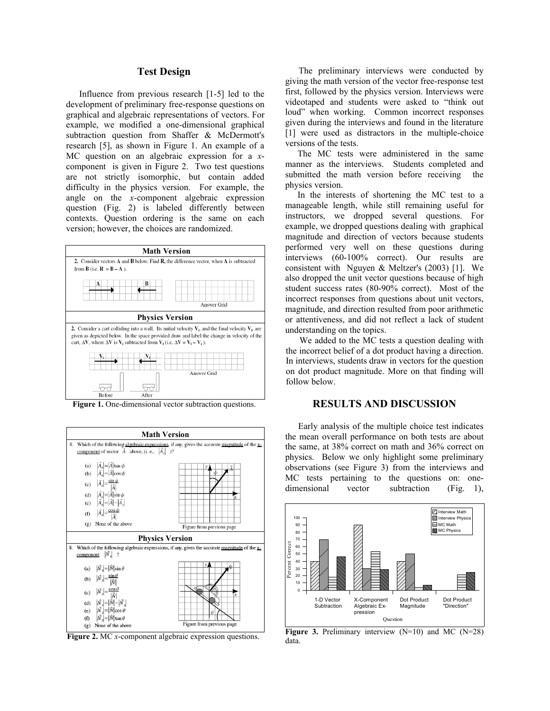## **Test Design**

Influence from previous research [1-5] led to the development of preliminary free-response questions on graphical and algebraic representations of vectors. For example, we modified a one-dimensional graphical subtraction question from Shaffer & McDermott's research [5], as shown in Figure 1. An example of a MC question on an algebraic expression for a *x*component is given in Figure 2. Two test questions are not strictly isomorphic, but contain added difficulty in the physics version. For example, the angle on the *x*-component algebraic expression question (Fig. 2) is labeled differently between contexts. Question ordering is the same on each version; however, the choices are randomized.



**Figure 1.** One-dimensional vector subtraction questions.



**Figure 2.** MC *x*-component algebraic expression questions.

The preliminary interviews were conducted by giving the math version of the vector free-response test first, followed by the physics version. Interviews were videotaped and students were asked to "think out loud" when working. Common incorrect responses given during the interviews and found in the literature [1] were used as distractors in the multiple-choice versions of the tests.

The MC tests were administered in the same manner as the interviews. Students completed and submitted the math version before receiving the physics version.

In the interests of shortening the MC test to a manageable length, while still remaining useful for instructors, we dropped several questions. For example, we dropped questions dealing with graphical magnitude and direction of vectors because students performed very well on these questions during interviews (60-100% correct). Our results are consistent with Nguyen & Meltzer's (2003) [1]. We also dropped the unit vector questions because of high student success rates (80-90% correct). Most of the incorrect responses from questions about unit vectors, magnitude, and direction resulted from poor arithmetic or attentiveness, and did not reflect a lack of student understanding on the topics.

We added to the MC tests a question dealing with the incorrect belief of a dot product having a direction. In interviews, students draw in vectors for the question on dot product magnitude. More on that finding will follow below.

# **RESULTS AND DISCUSSION**

Early analysis of the multiple choice test indicates the mean overall performance on both tests are about the same, at 38% correct on math and 36% correct on physics. Below we only highlight some preliminary observations (see Figure 3) from the interviews and MC tests pertaining to the questions on: onedimensional vector subtraction (Fig. 1),



**Figure 3.** Preliminary interview (N=10) and MC (N=28) data.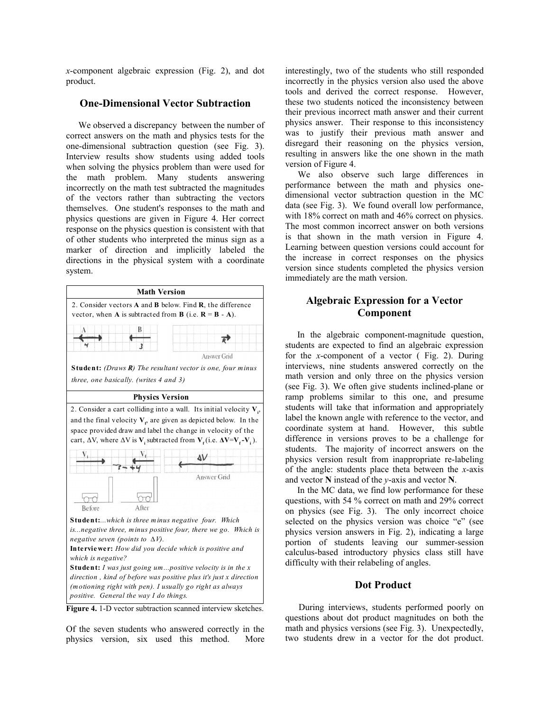*x*-component algebraic expression (Fig. 2), and dot product.

# **One-Dimensional Vector Subtraction**

We observed a discrepancy between the number of correct answers on the math and physics tests for the one-dimensional subtraction question (see Fig. 3). Interview results show students using added tools when solving the physics problem than were used for the math problem. Many students answering incorrectly on the math test subtracted the magnitudes of the vectors rather than subtracting the vectors themselves. One student's responses to the math and physics questions are given in Figure 4. Her correct response on the physics question is consistent with that of other students who interpreted the minus sign as a marker of direction and implicitly labeled the directions in the physical system with a coordinate system.



Figure 4. 1-D vector subtraction scanned interview sketches.

Of the seven students who answered correctly in the physics version, six used this method. More interestingly, two of the students who still responded incorrectly in the physics version also used the above tools and derived the correct response. However, these two students noticed the inconsistency between their previous incorrect math answer and their current physics answer. Their response to this inconsistency was to justify their previous math answer and disregard their reasoning on the physics version, resulting in answers like the one shown in the math version of Figure 4.

We also observe such large differences in performance between the math and physics onedimensional vector subtraction question in the MC data (see Fig. 3). We found overall low performance, with 18% correct on math and 46% correct on physics. The most common incorrect answer on both versions is that shown in the math version in Figure 4. Learning between question versions could account for the increase in correct responses on the physics version since students completed the physics version immediately are the math version.

# **Algebraic Expression for a Vector Component**

In the algebraic component-magnitude question, students are expected to find an algebraic expression for the *x*-component of a vector ( Fig. 2). During interviews, nine students answered correctly on the math version and only three on the physics version (see Fig. 3). We often give students inclined-plane or ramp problems similar to this one, and presume students will take that information and appropriately label the known angle with reference to the vector, and coordinate system at hand. However, this subtle difference in versions proves to be a challenge for students. The majority of incorrect answers on the physics version result from inappropriate re-labeling of the angle: students place theta between the *x*-axis and vector **N** instead of the *y*-axis and vector **N**.

In the MC data, we find low performance for these questions, with 54 % correct on math and 29% correct on physics (see Fig. 3). The only incorrect choice selected on the physics version was choice "e" (see physics version answers in Fig. 2), indicating a large portion of students leaving our summer-session calculus-based introductory physics class still have difficulty with their relabeling of angles.

## **Dot Product**

During interviews, students performed poorly on questions about dot product magnitudes on both the math and physics versions (see Fig. 3). Unexpectedly, two students drew in a vector for the dot product.